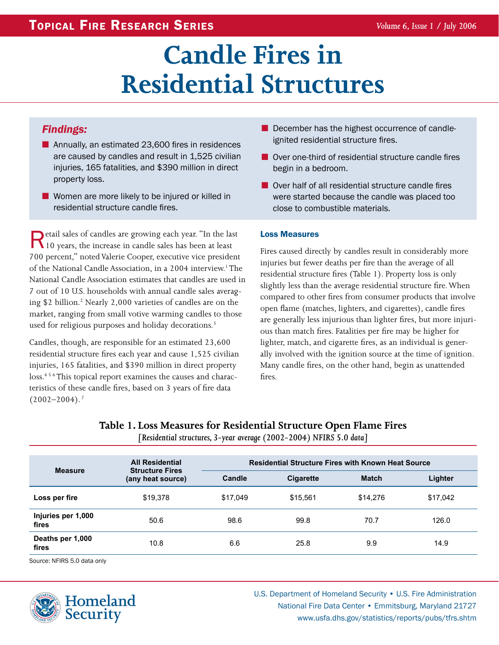# **Candle Fires in Residential Structures**

## *Findings:*

- Annually, an estimated 23,600 fires in residences are caused by candles and result in 1,525 civilian injuries, 165 fatalities, and \$390 million in direct property loss.
- Women are more likely to be injured or killed in residential structure candle fires.

**Retail sales of candles are growing each year. "In the last 10 years, the increase in candle sales has been at least** 700 percent," noted Valerie Cooper, executive vice president of the National Candle Association, in a 2004 interview.<sup>1</sup> The National Candle Association estimates that candles are used in 7 out of 10 U.S. households with annual candle sales averaging \$2 billion.<sup>2</sup> Nearly 2,000 varieties of candles are on the market, ranging from small votive warming candles to those used for religious purposes and holiday decorations.<sup>3</sup>

Candles, though, are responsible for an estimated 23,600 residential structure fires each year and cause 1,525 civilian injuries, 165 fatalities, and \$390 million in direct property loss.<sup>456</sup> This topical report examines the causes and characteristics of these candle fires, based on 3 years of fire data  $(2002 - 2004).$ <sup>7</sup>

- December has the highest occurrence of candleignited residential structure fires.
- Over one-third of residential structure candle fires begin in a bedroom.
- Over half of all residential structure candle fires were started because the candle was placed too close to combustible materials.

#### Loss Measures

Fires caused directly by candles result in considerably more injuries but fewer deaths per fire than the average of all residential structure fires (Table 1). Property loss is only slightly less than the average residential structure fire. When compared to other fires from consumer products that involve open flame (matches, lighters, and cigarettes), candle fires are generally less injurious than lighter fires, but more injurious than match fires. Fatalities per fire may be higher for lighter, match, and cigarette fires, as an individual is generally involved with the ignition source at the time of ignition. Many candle fires, on the other hand, begin as unattended fires.

## **Table 1. Loss Measures for Residential Structure Open Flame Fires**

*[Residential structures, 3-year average (2002-2004) NFIRS 5.0 data]*

| <b>Measure</b>              | <b>All Residential</b><br><b>Structure Fires</b><br>(any heat source) | <b>Residential Structure Fires with Known Heat Source</b> |           |          |          |
|-----------------------------|-----------------------------------------------------------------------|-----------------------------------------------------------|-----------|----------|----------|
|                             |                                                                       | Candle                                                    | Cigarette | Match    | Lighter  |
| Loss per fire               | \$19,378                                                              | \$17,049                                                  | \$15,561  | \$14,276 | \$17,042 |
| Injuries per 1,000<br>fires | 50.6                                                                  | 98.6                                                      | 99.8      | 70.7     | 126.0    |
| Deaths per 1,000<br>fires   | 10.8                                                                  | 6.6                                                       | 25.8      | 9.9      | 14.9     |

Source: NFIRS 5.0 data only



U.S. Department of Homeland Security • U.S. Fire Administration National Fire Data Center • Emmitsburg, Maryland 21727 www.usfa.dhs.gov/statistics/reports/pubs/tfrs.shtm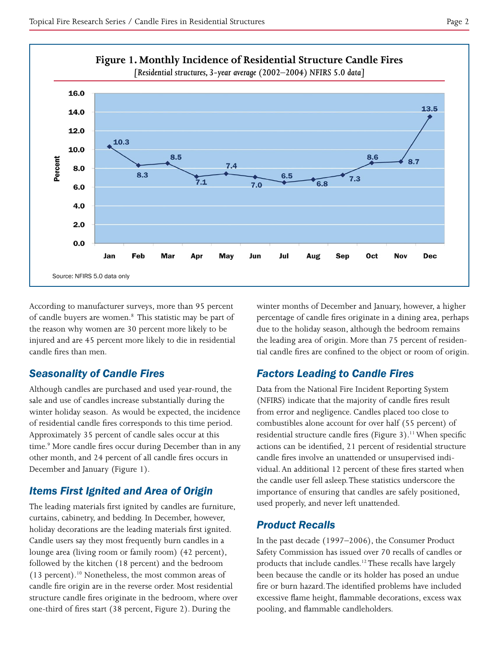

According to manufacturer surveys, more than 95 percent of candle buyers are women.<sup>8</sup> This statistic may be part of the reason why women are 30 percent more likely to be injured and are 45 percent more likely to die in residential candle fires than men.

## *Seasonality of Candle Fires*

Although candles are purchased and used year-round, the sale and use of candles increase substantially during the winter holiday season. As would be expected, the incidence of residential candle fires corresponds to this time period. Approximately 35 percent of candle sales occur at this time.<sup>9</sup> More candle fires occur during December than in any other month, and 24 percent of all candle fires occurs in December and January (Figure 1).

## *Items First Ignited and Area of Origin*

The leading materials first ignited by candles are furniture, curtains, cabinetry, and bedding. In December, however, holiday decorations are the leading materials first ignited. Candle users say they most frequently burn candles in a lounge area (living room or family room) (42 percent), followed by the kitchen (18 percent) and the bedroom (13 percent).10 Nonetheless, the most common areas of candle fire origin are in the reverse order. Most residential structure candle fires originate in the bedroom, where over one-third of fires start (38 percent, Figure 2). During the

winter months of December and January, however, a higher percentage of candle fires originate in a dining area, perhaps due to the holiday season, although the bedroom remains the leading area of origin. More than 75 percent of residential candle fires are confined to the object or room of origin.

## *Factors Leading to Candle Fires*

Data from the National Fire Incident Reporting System (NFIRS) indicate that the majority of candle fires result from error and negligence. Candles placed too close to combustibles alone account for over half (55 percent) of residential structure candle fires (Figure 3).<sup>11</sup> When specific actions can be identified, 21 percent of residential structure candle fires involve an unattended or unsupervised individual. An additional 12 percent of these fires started when the candle user fell asleep. These statistics underscore the importance of ensuring that candles are safely positioned, used properly, and never left unattended.

### *Product Recalls*

In the past decade (1997–2006), the Consumer Product Safety Commission has issued over 70 recalls of candles or products that include candles.12 These recalls have largely been because the candle or its holder has posed an undue fire or burn hazard. The identified problems have included excessive flame height, flammable decorations, excess wax pooling, and flammable candleholders.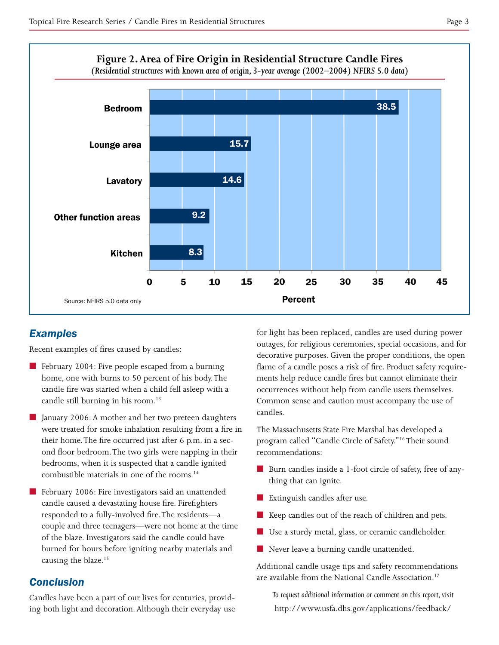

## *Examples*

Recent examples of fires caused by candles:

- February 2004: Five people escaped from a burning home, one with burns to 50 percent of his body. The candle fire was started when a child fell asleep with a candle still burning in his room.<sup>13</sup>
- January 2006: A mother and her two preteen daughters were treated for smoke inhalation resulting from a fire in their home. The fire occurred just after 6 p.m. in a second floor bedroom. The two girls were napping in their bedrooms, when it is suspected that a candle ignited combustible materials in one of the rooms.14
- February 2006: Fire investigators said an unattended candle caused a devastating house fire. Firefighters responded to a fully-involved fire. The residents—a couple and three teenagers—were not home at the time of the blaze. Investigators said the candle could have burned for hours before igniting nearby materials and causing the blaze.<sup>15</sup> ■

## *Conclusion*

Candles have been a part of our lives for centuries, providing both light and decoration. Although their everyday use for light has been replaced, candles are used during power outages, for religious ceremonies, special occasions, and for decorative purposes. Given the proper conditions, the open flame of a candle poses a risk of fire. Product safety requirements help reduce candle fires but cannot eliminate their occurrences without help from candle users themselves. Common sense and caution must accompany the use of candles.

The Massachusetts State Fire Marshal has developed a program called "Candle Circle of Safety."16 Their sound recommendations:

- Burn candles inside a 1-foot circle of safety, free of anything that can ignite.
- Extinguish candles after use.
- Keep candles out of the reach of children and pets.
- Use a sturdy metal, glass, or ceramic candleholder.
- Never leave a burning candle unattended.

Additional candle usage tips and safety recommendations are available from the National Candle Association.<sup>17</sup>

*To request additional information or comment on this report, visit*  http://www.usfa.dhs.gov/applications/feedback/